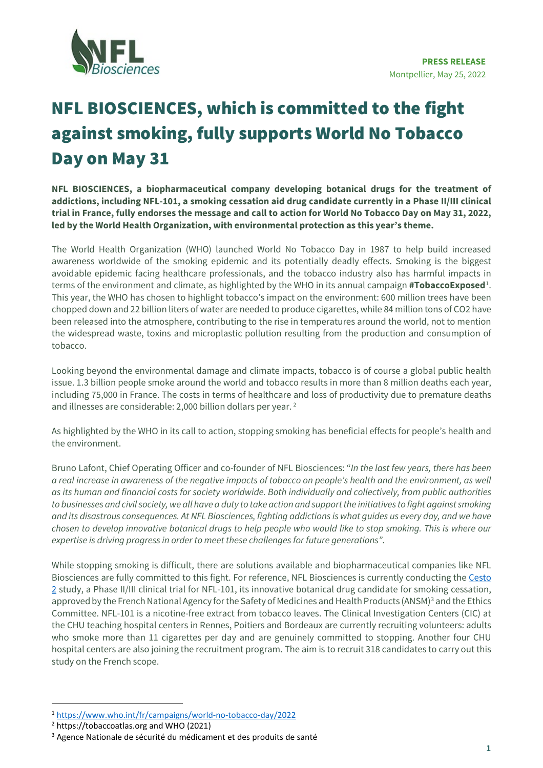

## NFL BIOSCIENCES, which is committed to the fight against smoking, fully supports World No Tobacco Day on May 31

**NFL BIOSCIENCES, a biopharmaceutical company developing botanical drugs for the treatment of addictions, including NFL-101, a smoking cessation aid drug candidate currently in a Phase II/III clinical trial in France, fully endorses the message and call to action for World No Tobacco Day on May 31, 2022, led by the World Health Organization, with environmental protection as this year's theme.**

The World Health Organization (WHO) launched World No Tobacco Day in 1987 to help build increased awareness worldwide of the smoking epidemic and its potentially deadly effects. Smoking is the biggest avoidable epidemic facing healthcare professionals, and the tobacco industry also has harmful impacts in terms of the environment and climate, as highlighted by the WHO in its annual campaign **#TobaccoExposed**<del>'</del>. This year, the WHO has chosen to highlight tobacco's impact on the environment: 600 million trees have been chopped down and 22 billion liters of water are needed to produce cigarettes, while 84 million tons of CO2 have been released into the atmosphere, contributing to the rise in temperatures around the world, not to mention the widespread waste, toxins and microplastic pollution resulting from the production and consumption of tobacco.

Looking beyond the environmental damage and climate impacts, tobacco is of course a global public health issue. 1.3 billion people smoke around the world and tobacco results in more than 8 million deaths each year, including 75,000 in France. The costs in terms of healthcare and loss of productivity due to premature deaths and illnesses are considerable: 2,000 billion dollars per year. [2](#page-0-1)

As highlighted by the WHO in its call to action, stopping smoking has beneficial effects for people's health and the environment.

Bruno Lafont, Chief Operating Officer and co-founder of NFL Biosciences: "*In the last few years, there has been a real increase in awareness of the negative impacts of tobacco on people's health and the environment, as well as its human and financial costs for society worldwide. Both individually and collectively, from public authorities to businesses and civil society, we all have a duty to take action and support the initiatives to fight against smoking and its disastrous consequences. At NFL Biosciences, fighting addictions is what guides us every day, and we have chosen to develop innovative botanical drugs to help people who would like to stop smoking. This is where our expertise is driving progress in order to meet these challenges for future generations"*.

While stopping smoking is difficult, there are solutions available and biopharmaceutical companies like NFL Biosciences are fully committed to this fight. For reference, NFL Biosciences is currently conducting th[e Cesto](https://www.cesto2.com/)  [2](https://www.cesto2.com/) study, a Phase II/III clinical trial for NFL-101, its innovative botanical drug candidate for smoking cessation, approved by the French National Agency for the Safety of Medicines and Health Products (ANSM)<sup>[3](#page-0-2)</sup> and the Ethics Committee. NFL-101 is a nicotine-free extract from tobacco leaves. The Clinical Investigation Centers (CIC) at the CHU teaching hospital centers in Rennes, Poitiers and Bordeaux are currently recruiting volunteers: adults who smoke more than 11 cigarettes per day and are genuinely committed to stopping. Another four CHU hospital centers are also joining the recruitment program. The aim is to recruit 318 candidates to carry out this study on the French scope.

<span id="page-0-0"></span><sup>1</sup> <https://www.who.int/fr/campaigns/world-no-tobacco-day/2022>

<span id="page-0-1"></span><sup>2</sup> https://tobaccoatlas.org and WHO (2021)

<span id="page-0-2"></span><sup>&</sup>lt;sup>3</sup> Agence Nationale de sécurité du médicament et des produits de santé